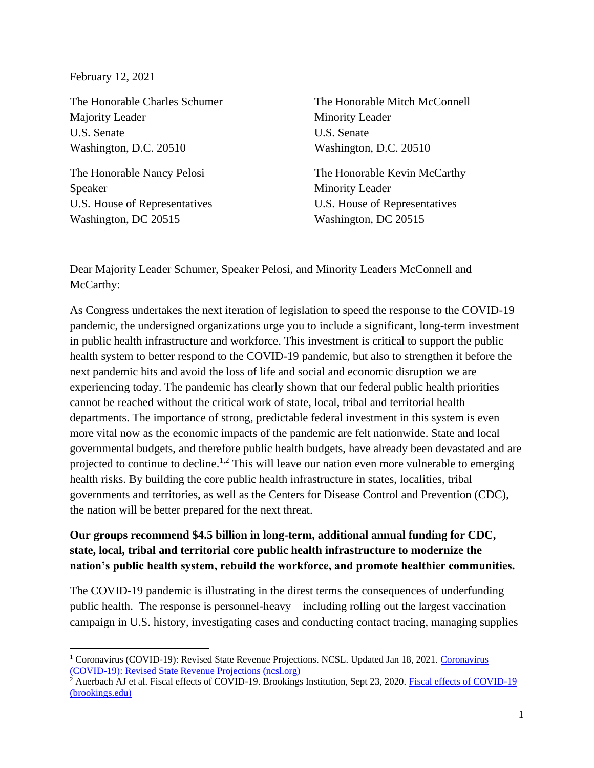February 12, 2021

The Honorable Charles Schumer Majority Leader U.S. Senate Washington, D.C. 20510

The Honorable Nancy Pelosi Speaker U.S. House of Representatives Washington, DC 20515

The Honorable Mitch McConnell Minority Leader U.S. Senate Washington, D.C. 20510

The Honorable Kevin McCarthy Minority Leader U.S. House of Representatives Washington, DC 20515

Dear Majority Leader Schumer, Speaker Pelosi, and Minority Leaders McConnell and McCarthy:

As Congress undertakes the next iteration of legislation to speed the response to the COVID-19 pandemic, the undersigned organizations urge you to include a significant, long-term investment in public health infrastructure and workforce. This investment is critical to support the public health system to better respond to the COVID-19 pandemic, but also to strengthen it before the next pandemic hits and avoid the loss of life and social and economic disruption we are experiencing today. The pandemic has clearly shown that our federal public health priorities cannot be reached without the critical work of state, local, tribal and territorial health departments. The importance of strong, predictable federal investment in this system is even more vital now as the economic impacts of the pandemic are felt nationwide. State and local governmental budgets, and therefore public health budgets, have already been devastated and are projected to continue to decline.<sup>1,2</sup> This will leave our nation even more vulnerable to emerging health risks. By building the core public health infrastructure in states, localities, tribal governments and territories, as well as the Centers for Disease Control and Prevention (CDC), the nation will be better prepared for the next threat.

## **Our groups recommend \$4.5 billion in long-term, additional annual funding for CDC, state, local, tribal and territorial core public health infrastructure to modernize the nation's public health system, rebuild the workforce, and promote healthier communities.**

The COVID-19 pandemic is illustrating in the direst terms the consequences of underfunding public health. The response is personnel-heavy – including rolling out the largest vaccination campaign in U.S. history, investigating cases and conducting contact tracing, managing supplies

<sup>&</sup>lt;sup>1</sup> [Coronavirus](https://www.ncsl.org/research/fiscal-policy/coronavirus-covid-19-state-budget-updates-and-revenue-projections637208306.aspx) (COVID-19): Revised State Revenue Projections. NCSL. Updated Jan 18, 2021. Coronavirus [\(COVID-19\): Revised State Revenue Projections \(ncsl.org\)](https://www.ncsl.org/research/fiscal-policy/coronavirus-covid-19-state-budget-updates-and-revenue-projections637208306.aspx) 

<sup>&</sup>lt;sup>2</sup> Auerbach AJ et al. Fiscal effects of COVID-19. Brookings Institution, Sept 23, 2020. Fiscal effects of COVID-19 [\(brookings.edu\)](https://www.brookings.edu/bpea-articles/fiscal-effects-of-covid-19/)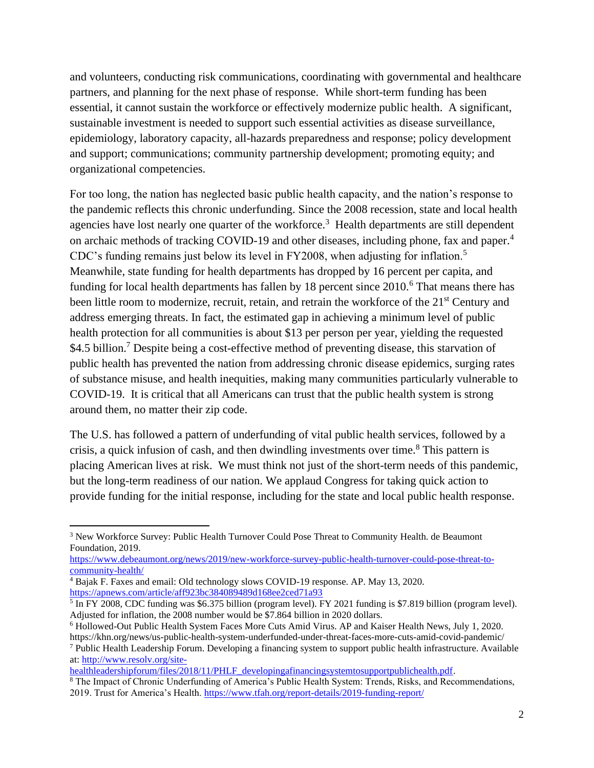and volunteers, conducting risk communications, coordinating with governmental and healthcare partners, and planning for the next phase of response. While short-term funding has been essential, it cannot sustain the workforce or effectively modernize public health. A significant, sustainable investment is needed to support such essential activities as disease surveillance, epidemiology, laboratory capacity, all-hazards preparedness and response; policy development and support; communications; community partnership development; promoting equity; and organizational competencies.

For too long, the nation has neglected basic public health capacity, and the nation's response to the pandemic reflects this chronic underfunding. Since the 2008 recession, state and local health agencies have lost nearly one quarter of the workforce.<sup>3</sup> Health departments are still dependent on archaic methods of tracking COVID-19 and other diseases, including phone, fax and paper.<sup>4</sup> CDC's funding remains just below its level in FY2008, when adjusting for inflation.<sup>5</sup> Meanwhile, state funding for health departments has dropped by 16 percent per capita, and funding for local health departments has fallen by  $18$  percent since  $2010$ .<sup>6</sup> That means there has been little room to modernize, recruit, retain, and retrain the workforce of the 21<sup>st</sup> Century and address emerging threats. In fact, the estimated gap in achieving a minimum level of public health protection for all communities is about \$13 per person per year, yielding the requested \$4.5 billion.<sup>7</sup> Despite being a cost-effective method of preventing disease, this starvation of public health has prevented the nation from addressing chronic disease epidemics, surging rates of substance misuse, and health inequities, making many communities particularly vulnerable to COVID-19. It is critical that all Americans can trust that the public health system is strong around them, no matter their zip code.

The U.S. has followed a pattern of underfunding of vital public health services, followed by a crisis, a quick infusion of cash, and then dwindling investments over time.<sup>8</sup> This pattern is placing American lives at risk. We must think not just of the short-term needs of this pandemic, but the long-term readiness of our nation. We applaud Congress for taking quick action to provide funding for the initial response, including for the state and local public health response.

[healthleadershipforum/files/2018/11/PHLF\\_developingafinancingsystemtosupportpublichealth.pdf.](http://www.resolv.org/site-healthleadershipforum/files/2018/11/PHLF_developingafinancingsystemtosupportpublichealth.pdf) <sup>8</sup> The Impact of Chronic Underfunding of America's Public Health System: Trends, Risks, and Recommendations, 2019. Trust for America's Health.<https://www.tfah.org/report-details/2019-funding-report/>

<sup>3</sup> New Workforce Survey: Public Health Turnover Could Pose Threat to Community Health. de Beaumont Foundation, 2019.

[https://www.debeaumont.org/news/2019/new-workforce-survey-public-health-turnover-could-pose-threat-to](https://www.debeaumont.org/news/2019/new-workforce-survey-public-health-turnover-could-pose-threat-to-community-health/)[community-health/](https://www.debeaumont.org/news/2019/new-workforce-survey-public-health-turnover-could-pose-threat-to-community-health/)

<sup>4</sup> Bajak F. Faxes and email: Old technology slows COVID-19 response. AP. May 13, 2020. <https://apnews.com/article/aff923bc384089489d168ee2ced71a93>

<sup>&</sup>lt;sup>5</sup> In FY 2008, CDC funding was \$6.375 billion (program level). FY 2021 funding is \$7.819 billion (program level). Adjusted for inflation, the 2008 number would be \$7.864 billion in 2020 dollars.

<sup>6</sup> Hollowed-Out Public Health System Faces More Cuts Amid Virus. AP and Kaiser Health News, July 1, 2020. https://khn.org/news/us-public-health-system-underfunded-under-threat-faces-more-cuts-amid-covid-pandemic/

<sup>7</sup> Public Health Leadership Forum. Developing a financing system to support public health infrastructure. Available at: [http://www.resolv.org/site-](http://www.resolv.org/site-healthleadershipforum/files/2018/11/PHLF_developingafinancingsystemtosupportpublichealth.pdf)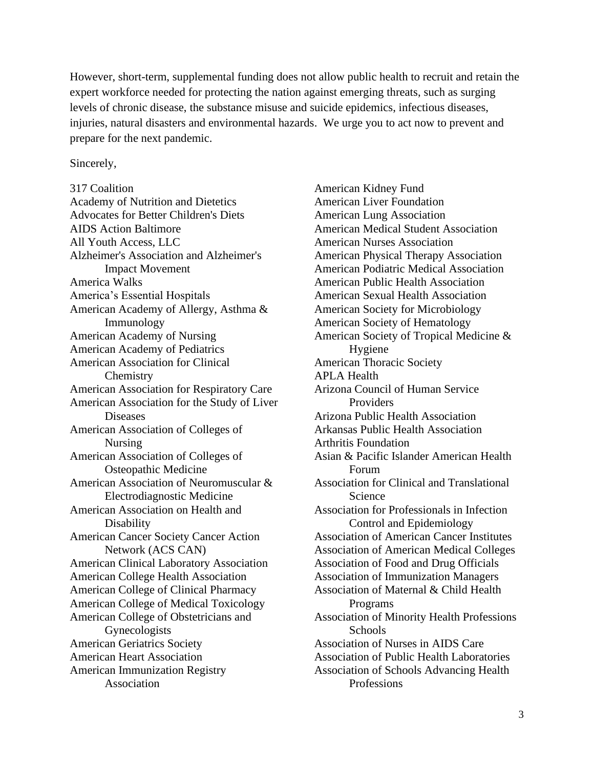However, short-term, supplemental funding does not allow public health to recruit and retain the expert workforce needed for protecting the nation against emerging threats, such as surging levels of chronic disease, the substance misuse and suicide epidemics, infectious diseases, injuries, natural disasters and environmental hazards. We urge you to act now to prevent and prepare for the next pandemic.

## Sincerely,

317 Coalition Academy of Nutrition and Dietetics Advocates for Better Children's Diets AIDS Action Baltimore All Youth Access, LLC Alzheimer's Association and Alzheimer's Impact Movement America Walks America's Essential Hospitals American Academy of Allergy, Asthma & Immunology American Academy of Nursing American Academy of Pediatrics American Association for Clinical **Chemistry** American Association for Respiratory Care American Association for the Study of Liver **Diseases** American Association of Colleges of Nursing American Association of Colleges of Osteopathic Medicine American Association of Neuromuscular & Electrodiagnostic Medicine American Association on Health and Disability American Cancer Society Cancer Action Network (ACS CAN) American Clinical Laboratory Association American College Health Association American College of Clinical Pharmacy American College of Medical Toxicology American College of Obstetricians and Gynecologists American Geriatrics Society American Heart Association American Immunization Registry Association

American Kidney Fund American Liver Foundation American Lung Association American Medical Student Association American Nurses Association American Physical Therapy Association American Podiatric Medical Association American Public Health Association American Sexual Health Association American Society for Microbiology American Society of Hematology American Society of Tropical Medicine & Hygiene American Thoracic Society APLA Health Arizona Council of Human Service Providers Arizona Public Health Association Arkansas Public Health Association Arthritis Foundation Asian & Pacific Islander American Health Forum Association for Clinical and Translational Science Association for Professionals in Infection Control and Epidemiology Association of American Cancer Institutes Association of American Medical Colleges Association of Food and Drug Officials Association of Immunization Managers Association of Maternal & Child Health Programs Association of Minority Health Professions **Schools** Association of Nurses in AIDS Care Association of Public Health Laboratories Association of Schools Advancing Health Professions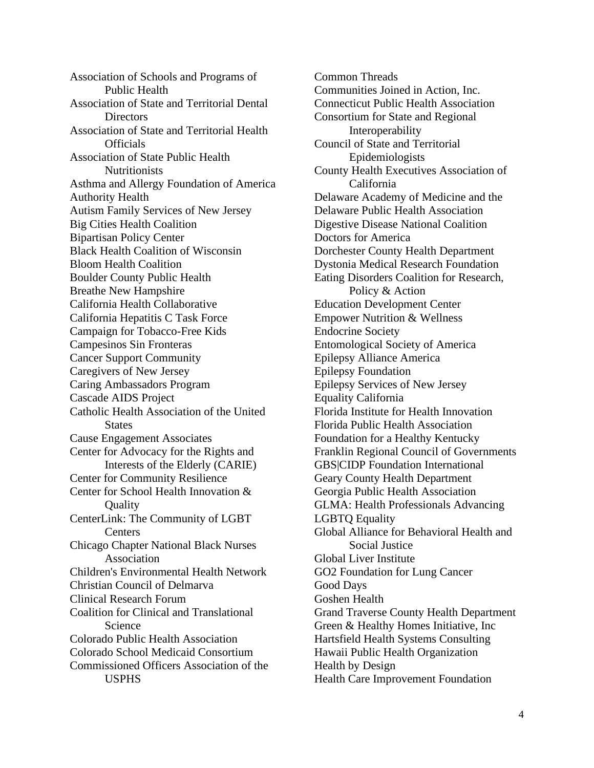Association of Schools and Programs of Public Health Association of State and Territorial Dental Directors Association of State and Territorial Health **Officials** Association of State Public Health **Nutritionists** Asthma and Allergy Foundation of America Authority Health Autism Family Services of New Jersey Big Cities Health Coalition Bipartisan Policy Center Black Health Coalition of Wisconsin Bloom Health Coalition Boulder County Public Health Breathe New Hampshire California Health Collaborative California Hepatitis C Task Force Campaign for Tobacco-Free Kids Campesinos Sin Fronteras Cancer Support Community Caregivers of New Jersey Caring Ambassadors Program Cascade AIDS Project Catholic Health Association of the United **States** Cause Engagement Associates Center for Advocacy for the Rights and Interests of the Elderly (CARIE) Center for Community Resilience Center for School Health Innovation & **Quality** CenterLink: The Community of LGBT **Centers** Chicago Chapter National Black Nurses Association Children's Environmental Health Network Christian Council of Delmarva Clinical Research Forum Coalition for Clinical and Translational Science Colorado Public Health Association Colorado School Medicaid Consortium Commissioned Officers Association of the USPHS

Common Threads Communities Joined in Action, Inc. Connecticut Public Health Association Consortium for State and Regional Interoperability Council of State and Territorial Epidemiologists County Health Executives Association of California Delaware Academy of Medicine and the Delaware Public Health Association Digestive Disease National Coalition Doctors for America Dorchester County Health Department Dystonia Medical Research Foundation Eating Disorders Coalition for Research, Policy & Action Education Development Center Empower Nutrition & Wellness Endocrine Society Entomological Society of America Epilepsy Alliance America Epilepsy Foundation Epilepsy Services of New Jersey Equality California Florida Institute for Health Innovation Florida Public Health Association Foundation for a Healthy Kentucky Franklin Regional Council of Governments GBS|CIDP Foundation International Geary County Health Department Georgia Public Health Association GLMA: Health Professionals Advancing LGBTQ Equality Global Alliance for Behavioral Health and Social Justice Global Liver Institute GO2 Foundation for Lung Cancer Good Days Goshen Health Grand Traverse County Health Department Green & Healthy Homes Initiative, Inc Hartsfield Health Systems Consulting Hawaii Public Health Organization Health by Design Health Care Improvement Foundation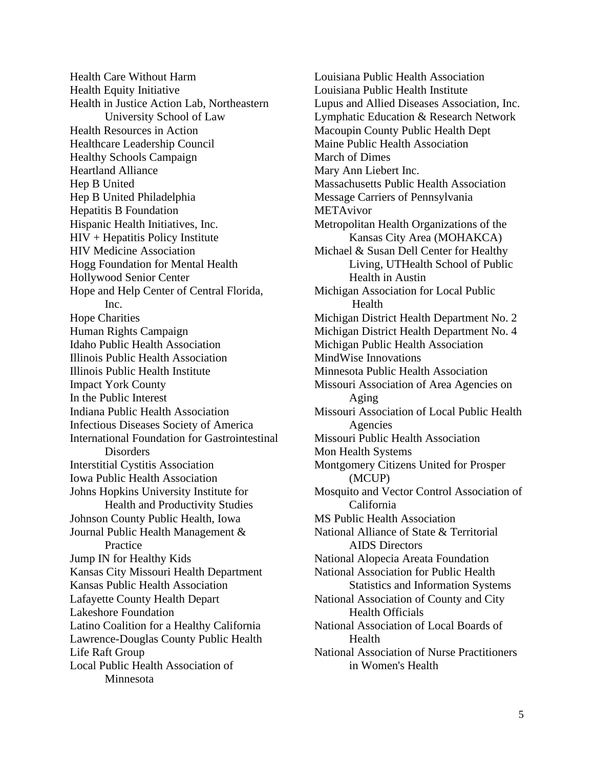Health Care Without Harm Health Equity Initiative Health in Justice Action Lab, Northeastern University School of Law Health Resources in Action Healthcare Leadership Council Healthy Schools Campaign Heartland Alliance Hep B United Hep B United Philadelphia Hepatitis B Foundation Hispanic Health Initiatives, Inc. HIV + Hepatitis Policy Institute HIV Medicine Association Hogg Foundation for Mental Health Hollywood Senior Center Hope and Help Center of Central Florida, Inc. Hope Charities Human Rights Campaign Idaho Public Health Association Illinois Public Health Association Illinois Public Health Institute Impact York County In the Public Interest Indiana Public Health Association Infectious Diseases Society of America International Foundation for Gastrointestinal Disorders Interstitial Cystitis Association Iowa Public Health Association Johns Hopkins University Institute for Health and Productivity Studies Johnson County Public Health, Iowa Journal Public Health Management & Practice Jump IN for Healthy Kids Kansas City Missouri Health Department Kansas Public Health Association Lafayette County Health Depart Lakeshore Foundation Latino Coalition for a Healthy California Lawrence-Douglas County Public Health Life Raft Group Local Public Health Association of Minnesota

Louisiana Public Health Association Louisiana Public Health Institute Lupus and Allied Diseases Association, Inc. Lymphatic Education & Research Network Macoupin County Public Health Dept Maine Public Health Association March of Dimes Mary Ann Liebert Inc. Massachusetts Public Health Association Message Carriers of Pennsylvania METAvivor Metropolitan Health Organizations of the Kansas City Area (MOHAKCA) Michael & Susan Dell Center for Healthy Living, UTHealth School of Public Health in Austin Michigan Association for Local Public Health Michigan District Health Department No. 2 Michigan District Health Department No. 4 Michigan Public Health Association MindWise Innovations Minnesota Public Health Association Missouri Association of Area Agencies on Aging Missouri Association of Local Public Health Agencies Missouri Public Health Association Mon Health Systems Montgomery Citizens United for Prosper (MCUP) Mosquito and Vector Control Association of California MS Public Health Association National Alliance of State & Territorial AIDS Directors National Alopecia Areata Foundation National Association for Public Health Statistics and Information Systems National Association of County and City Health Officials National Association of Local Boards of Health National Association of Nurse Practitioners in Women's Health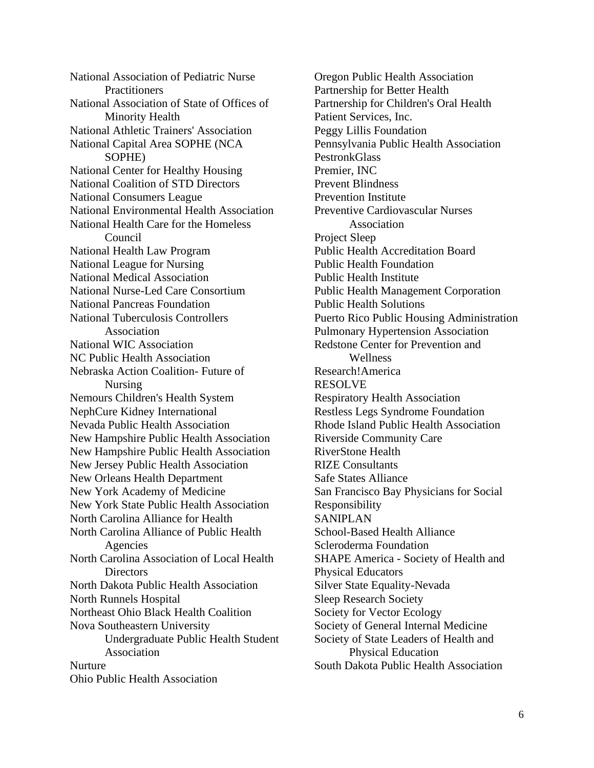National Association of Pediatric Nurse **Practitioners** National Association of State of Offices of Minority Health National Athletic Trainers' Association National Capital Area SOPHE (NCA SOPHE) National Center for Healthy Housing National Coalition of STD Directors National Consumers League National Environmental Health Association National Health Care for the Homeless Council National Health Law Program National League for Nursing National Medical Association National Nurse-Led Care Consortium National Pancreas Foundation National Tuberculosis Controllers Association National WIC Association NC Public Health Association Nebraska Action Coalition- Future of Nursing Nemours Children's Health System NephCure Kidney International Nevada Public Health Association New Hampshire Public Health Association New Hampshire Public Health Association New Jersey Public Health Association New Orleans Health Department New York Academy of Medicine New York State Public Health Association North Carolina Alliance for Health North Carolina Alliance of Public Health Agencies North Carolina Association of Local Health Directors North Dakota Public Health Association North Runnels Hospital Northeast Ohio Black Health Coalition Nova Southeastern University Undergraduate Public Health Student Association Nurture Ohio Public Health Association

Oregon Public Health Association Partnership for Better Health Partnership for Children's Oral Health Patient Services, Inc. Peggy Lillis Foundation Pennsylvania Public Health Association PestronkGlass Premier, INC Prevent Blindness Prevention Institute Preventive Cardiovascular Nurses Association Project Sleep Public Health Accreditation Board Public Health Foundation Public Health Institute Public Health Management Corporation Public Health Solutions Puerto Rico Public Housing Administration Pulmonary Hypertension Association Redstone Center for Prevention and Wellness Research!America RESOLVE Respiratory Health Association Restless Legs Syndrome Foundation Rhode Island Public Health Association Riverside Community Care RiverStone Health RIZE Consultants Safe States Alliance San Francisco Bay Physicians for Social Responsibility SANIPLAN School-Based Health Alliance Scleroderma Foundation SHAPE America - Society of Health and Physical Educators Silver State Equality-Nevada Sleep Research Society Society for Vector Ecology Society of General Internal Medicine Society of State Leaders of Health and Physical Education South Dakota Public Health Association